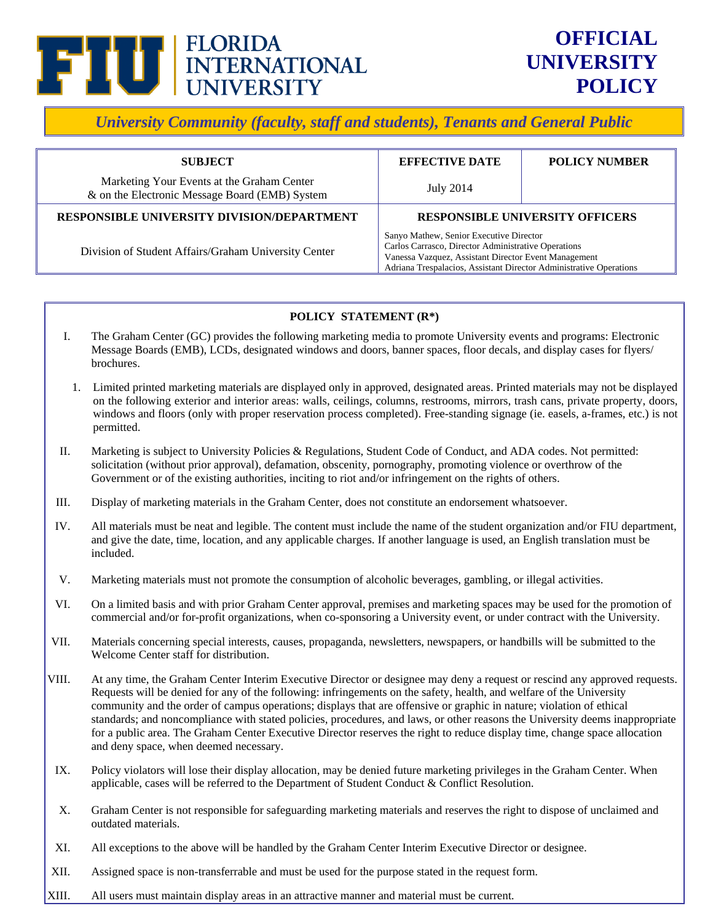

*University Community (faculty, staff and students), Tenants and General Public* 

| <b>SUBJECT</b>                                                                               | <b>EFFECTIVE DATE</b>                                                                                                                                                                                                        | <b>POLICY NUMBER</b> |
|----------------------------------------------------------------------------------------------|------------------------------------------------------------------------------------------------------------------------------------------------------------------------------------------------------------------------------|----------------------|
| Marketing Your Events at the Graham Center<br>& on the Electronic Message Board (EMB) System | July 2014                                                                                                                                                                                                                    |                      |
| RESPONSIBLE UNIVERSITY DIVISION/DEPARTMENT                                                   | <b>RESPONSIBLE UNIVERSITY OFFICERS</b>                                                                                                                                                                                       |                      |
| Division of Student Affairs/Graham University Center                                         | Sanyo Mathew, Senior Executive Director<br>Carlos Carrasco, Director Administrative Operations<br>Vanessa Vazquez, Assistant Director Event Management<br>Adriana Trespalacios, Assistant Director Administrative Operations |                      |

# **POLICY STATEMENT (R\*)**

- I. The Graham Center (GC) provides the following marketing media to promote University events and programs: Electronic Message Boards (EMB), LCDs, designated windows and doors, banner spaces, floor decals, and display cases for flyers/ brochures.
- 1. Limited printed marketing materials are displayed only in approved, designated areas. Printed materials may not be displayed on the following exterior and interior areas: walls, ceilings, columns, restrooms, mirrors, trash cans, private property, doors, windows and floors (only with proper reservation process completed). Free-standing signage (ie. easels, a-frames, etc.) is not permitted.
- II. Marketing is subject to University Policies & Regulations, Student Code of Conduct, and ADA codes. Not permitted: solicitation (without prior approval), defamation, obscenity, pornography, promoting violence or overthrow of the Government or of the existing authorities, inciting to riot and/or infringement on the rights of others.
- III. Display of marketing materials in the Graham Center, does not constitute an endorsement whatsoever.
- IV. All materials must be neat and legible. The content must include the name of the student organization and/or FIU department, and give the date, time, location, and any applicable charges. If another language is used, an English translation must be included.
- V. Marketing materials must not promote the consumption of alcoholic beverages, gambling, or illegal activities.
- VI. On a limited basis and with prior Graham Center approval, premises and marketing spaces may be used for the promotion of commercial and/or for-profit organizations, when co-sponsoring a University event, or under contract with the University.
- VII. Materials concerning special interests, causes, propaganda, newsletters, newspapers, or handbills will be submitted to the Welcome Center staff for distribution.
- VIII. At any time, the Graham Center Interim Executive Director or designee may deny a request or rescind any approved requests. Requests will be denied for any of the following: infringements on the safety, health, and welfare of the University community and the order of campus operations; displays that are offensive or graphic in nature; violation of ethical standards; and noncompliance with stated policies, procedures, and laws, or other reasons the University deems inappropriate for a public area. The Graham Center Executive Director reserves the right to reduce display time, change space allocation and deny space, when deemed necessary.
- IX. Policy violators will lose their display allocation, may be denied future marketing privileges in the Graham Center. When applicable, cases will be referred to the Department of Student Conduct & Conflict Resolution.
- X. Graham Center is not responsible for safeguarding marketing materials and reserves the right to dispose of unclaimed and outdated materials.
- XI. All exceptions to the above will be handled by the Graham Center Interim Executive Director or designee.
- XII. Assigned space is non-transferrable and must be used for the purpose stated in the request form.
- XIII. All users must maintain display areas in an attractive manner and material must be current.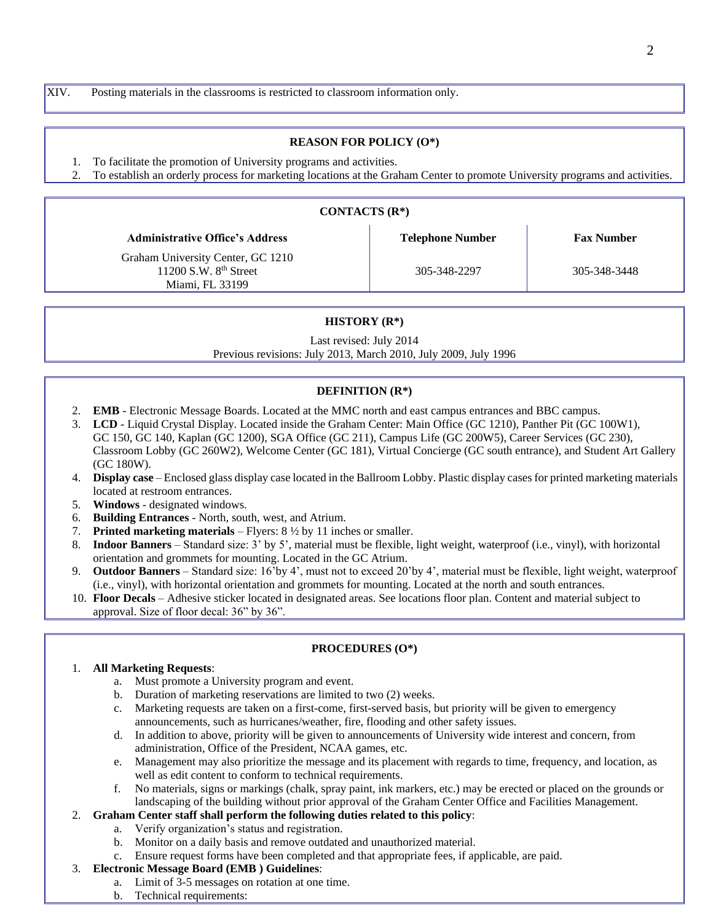XIV. Posting materials in the classrooms is restricted to classroom information only.

#### **REASON FOR POLICY (O\*)**

- 1. To facilitate the promotion of University programs and activities.
- 2. To establish an orderly process for marketing locations at the Graham Center to promote University programs and activities.

| CONTACTS $(R^*)$                                                                |                         |                   |  |
|---------------------------------------------------------------------------------|-------------------------|-------------------|--|
| <b>Administrative Office's Address</b>                                          | <b>Telephone Number</b> | <b>Fax Number</b> |  |
| Graham University Center, GC 1210<br>11200 S.W. $8th$ Street<br>Miami, FL 33199 | 305-348-2297            | 305-348-3448      |  |

### **HISTORY (R\*)**

Last revised: July 2014

Previous revisions: July 2013, March 2010, July 2009, July 1996

### **DEFINITION (R\*)**

- 2. **EMB**  Electronic Message Boards. Located at the MMC north and east campus entrances and BBC campus.
- 3. **LCD**  Liquid Crystal Display. Located inside the Graham Center: Main Office (GC 1210), Panther Pit (GC 100W1), GC 150, GC 140, Kaplan (GC 1200), SGA Office (GC 211), Campus Life (GC 200W5), Career Services (GC 230), Classroom Lobby (GC 260W2), Welcome Center (GC 181), Virtual Concierge (GC south entrance), and Student Art Gallery (GC 180W).
- 4. **Display case** Enclosed glass display case located in the Ballroom Lobby. Plastic display cases for printed marketing materials located at restroom entrances.
- 5. **Windows** designated windows.
- 6. **Building Entrances** North, south, west, and Atrium.
- 7. **Printed marketing materials** Flyers: 8 ½ by 11 inches or smaller.
- 8. **Indoor Banners** Standard size: 3' by 5', material must be flexible, light weight, waterproof (i.e., vinyl), with horizontal orientation and grommets for mounting. Located in the GC Atrium.
- 9. **Outdoor Banners**  Standard size: 16'by 4', must not to exceed 20'by 4', material must be flexible, light weight, waterproof (i.e., vinyl), with horizontal orientation and grommets for mounting. Located at the north and south entrances.
- 10. **Floor Decals** Adhesive sticker located in designated areas. See locations floor plan. Content and material subject to approval. Size of floor decal: 36" by 36".

#### **PROCEDURES (O\*)**

#### 1. **All Marketing Requests**:

- a. Must promote a University program and event.
- b. Duration of marketing reservations are limited to two (2) weeks.
- c. Marketing requests are taken on a first-come, first-served basis, but priority will be given to emergency announcements, such as hurricanes/weather, fire, flooding and other safety issues.
- d. In addition to above, priority will be given to announcements of University wide interest and concern, from administration, Office of the President, NCAA games, etc.
- e. Management may also prioritize the message and its placement with regards to time, frequency, and location, as well as edit content to conform to technical requirements.
- f. No materials, signs or markings (chalk, spray paint, ink markers, etc.) may be erected or placed on the grounds or landscaping of the building without prior approval of the Graham Center Office and Facilities Management.

#### 2. **Graham Center staff shall perform the following duties related to this policy**:

- a. Verify organization's status and registration.
- b. Monitor on a daily basis and remove outdated and unauthorized material.
- c. Ensure request forms have been completed and that appropriate fees, if applicable, are paid.

#### 3. **Electronic Message Board (EMB ) Guidelines**:

- a. Limit of 3-5 messages on rotation at one time.
- b. Technical requirements: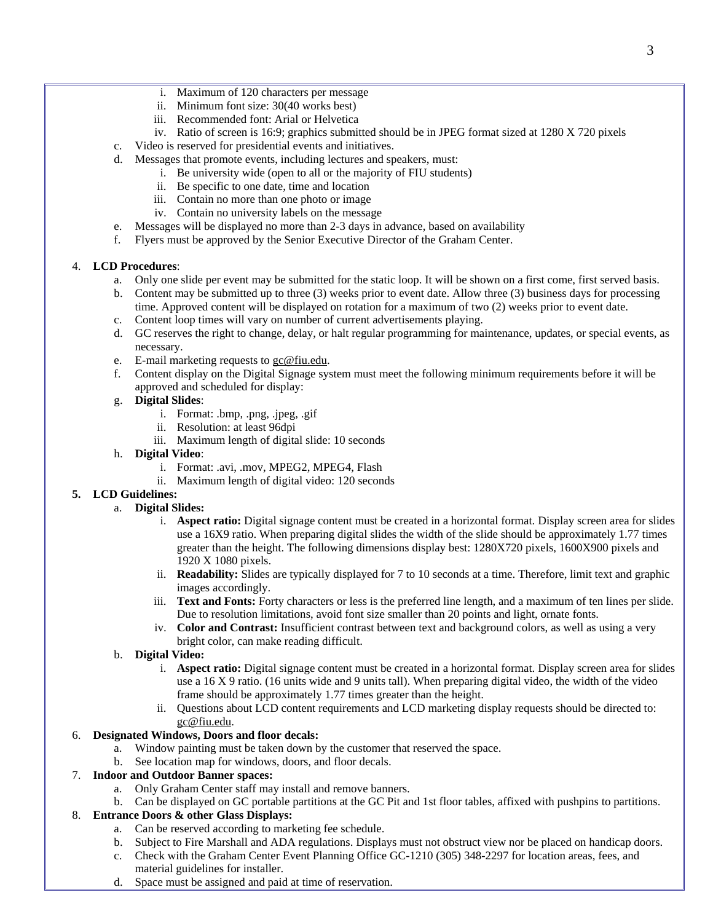- i. Maximum of 120 characters per message
- ii. Minimum font size: 30(40 works best)
- iii. Recommended font: Arial or Helvetica
- iv. Ratio of screen is 16:9; graphics submitted should be in JPEG format sized at 1280 X 720 pixels
- c. Video is reserved for presidential events and initiatives.
- d. Messages that promote events, including lectures and speakers, must:
	- i. Be university wide (open to all or the majority of FIU students)
	- ii. Be specific to one date, time and location
	- iii. Contain no more than one photo or image
	- iv. Contain no university labels on the message
- e. Messages will be displayed no more than 2-3 days in advance, based on availability
- f. Flyers must be approved by the Senior Executive Director of the Graham Center.

### 4. **LCD Procedures**:

- a. Only one slide per event may be submitted for the static loop. It will be shown on a first come, first served basis.
- b. Content may be submitted up to three (3) weeks prior to event date. Allow three (3) business days for processing time. Approved content will be displayed on rotation for a maximum of two (2) weeks prior to event date.
- c. Content loop times will vary on number of current advertisements playing.
- d. GC reserves the right to change, delay, or halt regular programming for maintenance, updates, or special events, as necessary.
- e. E-mail marketing requests to [gc@fiu.edu.](mailto:gc@fiu.edu)
- f. Content display on the Digital Signage system must meet the following minimum requirements before it will be approved and scheduled for display:

### g. **Digital Slides**:

- i. Format: .bmp, .png, .jpeg, .gif
- ii. Resolution: at least 96dpi
- iii. Maximum length of digital slide: 10 seconds

### h. **Digital Video**:

- i. Format: .avi, .mov, MPEG2, MPEG4, Flash
- ii. Maximum length of digital video: 120 seconds

## **5. LCD Guidelines:**

- a. **Digital Slides:**
	- i. **Aspect ratio:** Digital signage content must be created in a horizontal format. Display screen area for slides use a 16X9 ratio. When preparing digital slides the width of the slide should be approximately 1.77 times greater than the height. The following dimensions display best: 1280X720 pixels, 1600X900 pixels and 1920 X 1080 pixels.
	- ii. **Readability:** Slides are typically displayed for 7 to 10 seconds at a time. Therefore, limit text and graphic images accordingly.
	- iii. **Text and Fonts:** Forty characters or less is the preferred line length, and a maximum of ten lines per slide. Due to resolution limitations, avoid font size smaller than 20 points and light, ornate fonts.
	- iv. **Color and Contrast:** Insufficient contrast between text and background colors, as well as using a very bright color, can make reading difficult.

## b. **Digital Video:**

- i. **Aspect ratio:** Digital signage content must be created in a horizontal format. Display screen area for slides use a 16 X 9 ratio. (16 units wide and 9 units tall). When preparing digital video, the width of the video frame should be approximately 1.77 times greater than the height.
- ii. Questions about LCD content requirements and LCD marketing display requests should be directed to: [gc@fiu.edu.](mailto:gc@fiu.edu)

## 6. **Designated Windows, Doors and floor decals:**

- a. Window painting must be taken down by the customer that reserved the space.
- b. See location map for windows, doors, and floor decals.

# 7. **Indoor and Outdoor Banner spaces:**

- a. Only Graham Center staff may install and remove banners.
- b. Can be displayed on GC portable partitions at the GC Pit and 1st floor tables, affixed with pushpins to partitions.

# 8. **Entrance Doors & other Glass Displays:**

- a. Can be reserved according to marketing fee schedule.
- b. Subject to Fire Marshall and ADA regulations. Displays must not obstruct view nor be placed on handicap doors.
- c. Check with the Graham Center Event Planning Office GC-1210 (305) 348-2297 for location areas, fees, and material guidelines for installer.
- d. Space must be assigned and paid at time of reservation.